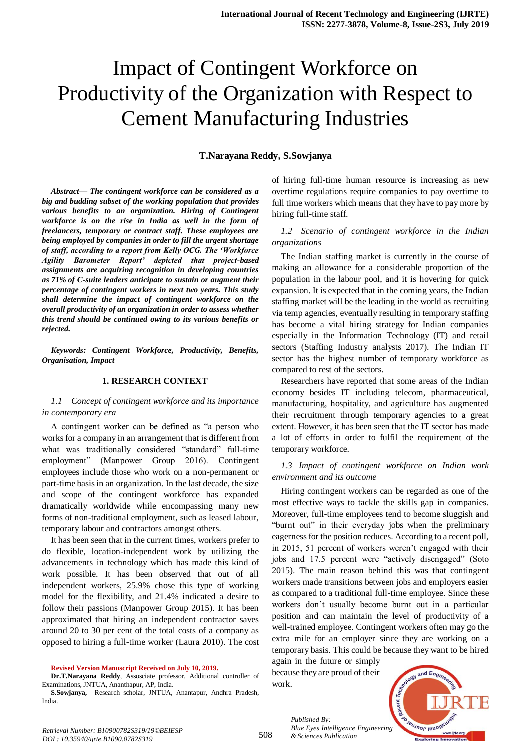# Impact of Contingent Workforce on Productivity of the Organization with Respect to Cement Manufacturing Industries

## **T.Narayana Reddy, S.Sowjanya**

*Abstract***—** *The contingent workforce can be considered as a big and budding subset of the working population that provides various benefits to an organization. Hiring of Contingent workforce is on the rise in India as well in the form of freelancers, temporary or contract staff. These employees are being employed by companies in order to fill the urgent shortage of staff, according to a report from Kelly OCG. The 'Workforce Agility Barometer Report' depicted that project-based assignments are acquiring recognition in developing countries as 71% of C-suite leaders anticipate to sustain or augment their percentage of contingent workers in next two years. This study shall determine the impact of contingent workforce on the overall productivity of an organization in order to assess whether this trend should be continued owing to its various benefits or rejected.*

*Keywords: Contingent Workforce, Productivity, Benefits, Organisation, Impact*

## **1. RESEARCH CONTEXT**

#### *1.1 Concept of contingent workforce and its importance in contemporary era*

A contingent worker can be defined as "a person who works for a company in an arrangement that is different from what was traditionally considered "standard" full-time employment" (Manpower Group 2016). Contingent employees include those who work on a non-permanent or part-time basis in an organization. In the last decade, the size and scope of the contingent workforce has expanded dramatically worldwide while encompassing many new forms of non-traditional employment, such as leased labour, temporary labour and contractors amongst others.

It has been seen that in the current times, workers prefer to do flexible, location-independent work by utilizing the advancements in technology which has made this kind of work possible. It has been observed that out of all independent workers, 25.9% chose this type of working model for the flexibility, and 21.4% indicated a desire to follow their passions (Manpower Group 2015). It has been approximated that hiring an independent contractor saves around 20 to 30 per cent of the total costs of a company as opposed to hiring a full-time worker (Laura 2010). The cost

**Revised Version Manuscript Received on July 10, 2019.**

**Dr.T.Narayana Reddy**, Assosciate professor, Additional controller of Examinations, JNTUA, Ananthapur, AP, India.

**S.Sowjanya,** Research scholar, JNTUA, Anantapur, Andhra Pradesh, India.

of hiring full-time human resource is increasing as new overtime regulations require companies to pay overtime to full time workers which means that they have to pay more by hiring full-time staff.

# *1.2 Scenario of contingent workforce in the Indian organizations*

The Indian staffing market is currently in the course of making an allowance for a considerable proportion of the population in the labour pool, and it is hovering for quick expansion. It is expected that in the coming years, the Indian staffing market will be the leading in the world as recruiting via temp agencies, eventually resulting in temporary staffing has become a vital hiring strategy for Indian companies especially in the Information Technology (IT) and retail sectors (Staffing Industry analysts 2017). The Indian IT sector has the highest number of temporary workforce as compared to rest of the sectors.

Researchers have reported that some areas of the Indian economy besides IT including telecom, pharmaceutical, manufacturing, hospitality, and agriculture has augmented their recruitment through temporary agencies to a great extent. However, it has been seen that the IT sector has made a lot of efforts in order to fulfil the requirement of the temporary workforce.

## *1.3 Impact of contingent workforce on Indian work environment and its outcome*

Hiring contingent workers can be regarded as one of the most effective ways to tackle the skills gap in companies. Moreover, full-time employees tend to become sluggish and "burnt out" in their everyday jobs when the preliminary eagerness for the position reduces. According to a recent poll, in 2015, 51 percent of workers weren't engaged with their jobs and 17.5 percent were "actively disengaged" (Soto 2015). The main reason behind this was that contingent workers made transitions between jobs and employers easier as compared to a traditional full-time employee. Since these workers don't usually become burnt out in a particular position and can maintain the level of productivity of a well-trained employee. Contingent workers often may go the extra mile for an employer since they are working on a temporary basis. This could be because they want to be hired

again in the future or simply because they are proud of their work.



*Retrieval Number: B10900782S319/19©BEIESP DOI : 10.35940/ijrte.B1090.0782S319*

*Published By: Blue Eyes Intelligence Engineering & Sciences Publication*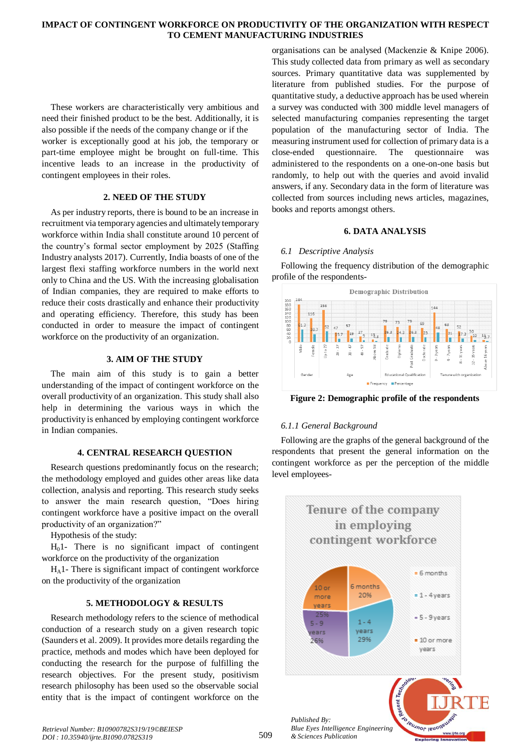## **IMPACT OF CONTINGENT WORKFORCE ON PRODUCTIVITY OF THE ORGANIZATION WITH RESPECT TO CEMENT MANUFACTURING INDUSTRIES**

These workers are characteristically very ambitious and need their finished product to be the best. Additionally, it is also possible if the needs of the company change or if the worker is exceptionally good at his job, the temporary or part-time employee might be brought on full-time. This incentive leads to an increase in the productivity of contingent employees in their roles.

#### **2. NEED OF THE STUDY**

As per industry reports, there is bound to be an increase in recruitment via temporary agencies and ultimately temporary workforce within India shall constitute around 10 percent of the country's formal sector employment by 2025 (Staffing Industry analysts 2017). Currently, India boasts of one of the largest flexi staffing workforce numbers in the world next only to China and the US. With the increasing globalisation of Indian companies, they are required to make efforts to reduce their costs drastically and enhance their productivity and operating efficiency. Therefore, this study has been conducted in order to measure the impact of contingent workforce on the productivity of an organization.

## **3. AIM OF THE STUDY**

The main aim of this study is to gain a better understanding of the impact of contingent workforce on the overall productivity of an organization. This study shall also help in determining the various ways in which the productivity is enhanced by employing contingent workforce in Indian companies.

## **4. CENTRAL RESEARCH QUESTION**

Research questions predominantly focus on the research; the methodology employed and guides other areas like data collection, analysis and reporting. This research study seeks to answer the main research question, "Does hiring contingent workforce have a positive impact on the overall productivity of an organization?"

Hypothesis of the study:

 $H<sub>0</sub>1$ - There is no significant impact of contingent workforce on the productivity of the organization

HA1- There is significant impact of contingent workforce on the productivity of the organization

## **5. METHODOLOGY & RESULTS**

Research methodology refers to the science of methodical conduction of a research study on a given research topic (Saunders et al. 2009). It provides more details regarding the practice, methods and modes which have been deployed for conducting the research for the purpose of fulfilling the research objectives. For the present study, positivism research philosophy has been used so the observable social entity that is the impact of contingent workforce on the organisations can be analysed (Mackenzie & Knipe 2006). This study collected data from primary as well as secondary sources. Primary quantitative data was supplemented by literature from published studies. For the purpose of quantitative study, a deductive approach has be used wherein a survey was conducted with 300 middle level managers of selected manufacturing companies representing the target population of the manufacturing sector of India. The measuring instrument used for collection of primary data is a close-ended questionnaire. The questionnaire was administered to the respondents on a one-on-one basis but randomly, to help out with the queries and avoid invalid answers, if any. Secondary data in the form of literature was collected from sources including news articles, magazines, books and reports amongst others.

## **6. DATA ANALYSIS**

## *6.1 Descriptive Analysis*

Following the frequency distribution of the demographic profile of the respondents-



**Figure 2: Demographic profile of the respondents**

## *6.1.1 General Background*

Following are the graphs of the general background of the respondents that present the general information on the contingent workforce as per the perception of the middle level employees-

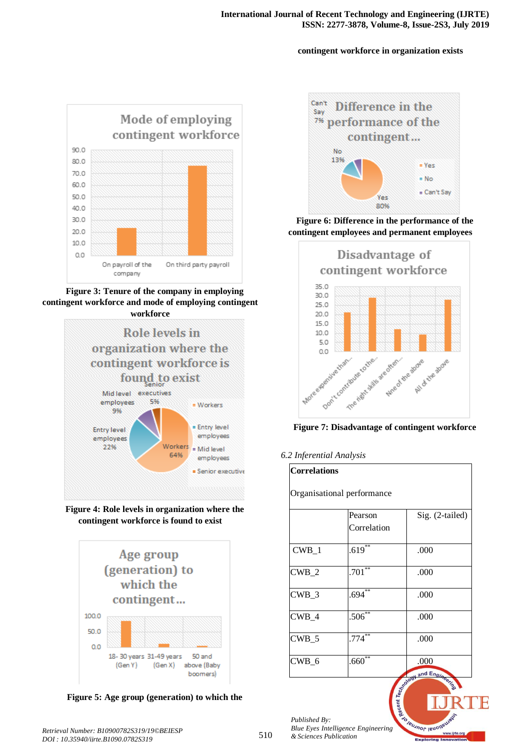# **contingent workforce in organization exists**



**Figure 3: Tenure of the company in employing contingent workforce and mode of employing contingent workforce**



**Figure 4: Role levels in organization where the contingent workforce is found to exist**



**Figure 5: Age group (generation) to which the** 



**Figure 6: Difference in the performance of the contingent employees and permanent employees**





*6.2 Inferential Analysis*

| <b>Correlations</b><br>Organisational performance |                        |                    |  |  |  |
|---------------------------------------------------|------------------------|--------------------|--|--|--|
|                                                   |                        |                    |  |  |  |
| CWB 1                                             | $.619***$              | .000               |  |  |  |
| $CWB_2$                                           | $.701***$              | .000               |  |  |  |
| $CWB_3$                                           | $.694**$               | .000               |  |  |  |
| $CWB_4$                                           | $.506^{\overline{**}}$ | .000               |  |  |  |
| $CWB_5$                                           | $.774***$              | .000               |  |  |  |
| $CWB_6$                                           | $.660^{\ast\ast}$      | .000<br>and Engine |  |  |  |

**SIBUANOF IBU** 

*Published By: Blue Eyes Intelligence Engineering & Sciences Publication*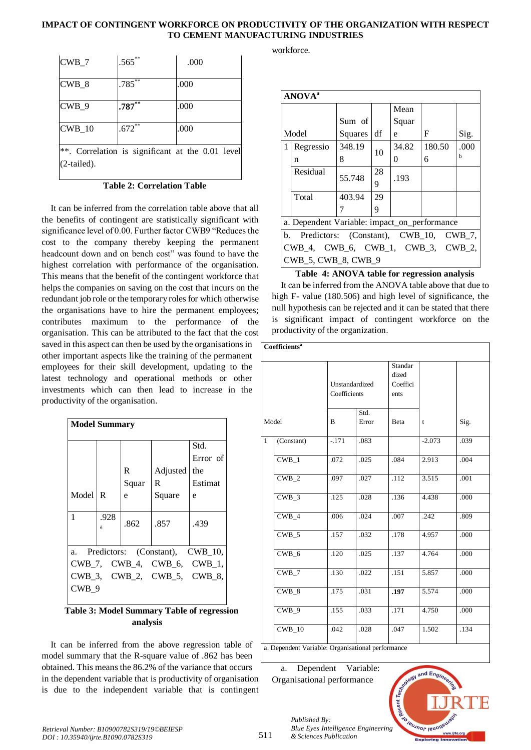# **IMPACT OF CONTINGENT WORKFORCE ON PRODUCTIVITY OF THE ORGANIZATION WITH RESPECT TO CEMENT MANUFACTURING INDUSTRIES**

| $CWB_7$                                                            | $.565***$            | .000 |  |  |  |
|--------------------------------------------------------------------|----------------------|------|--|--|--|
| $CWB_8$                                                            | $.785***$            | .000 |  |  |  |
| $CWB_9$                                                            | $.787**$             | .000 |  |  |  |
| $CWB_10$                                                           | $.672$ <sup>**</sup> | .000 |  |  |  |
| **. Correlation is significant at the 0.01 level<br>$(2$ -tailed). |                      |      |  |  |  |

**Table 2: Correlation Table**

It can be inferred from the correlation table above that all the benefits of contingent are statistically significant with significance level of 0.00. Further factor CWB9 "Reduces the cost to the company thereby keeping the permanent headcount down and on bench cost" was found to have the highest correlation with performance of the organisation. This means that the benefit of the contingent workforce that helps the companies on saving on the cost that incurs on the redundant job role or the temporary roles for which otherwise the organisations have to hire the permanent employees; contributes maximum to the performance of the organisation. This can be attributed to the fact that the cost saved in this aspect can then be used by the organisations in other important aspects like the training of the permanent employees for their skill development, updating to the latest technology and operational methods or other investments which can then lead to increase in the productivity of the organisation.

| <b>Model Summary</b>                  |           |       |          |                  |  |  |
|---------------------------------------|-----------|-------|----------|------------------|--|--|
|                                       |           |       |          | Std.<br>Error of |  |  |
|                                       |           | R     | Adjusted | the              |  |  |
|                                       |           | Squar | R        | Estimat          |  |  |
| Model R                               |           | e     | Square   | e                |  |  |
| 1                                     | .928<br>a | .862  | .857     | .439             |  |  |
| Predictors: (Constant), CWB_10,<br>a. |           |       |          |                  |  |  |
| CWB_7, CWB_4, CWB_6, CWB_1,           |           |       |          |                  |  |  |
| CWB_3, CWB_2, CWB_5, CWB_8,<br>CWB 9  |           |       |          |                  |  |  |

## **Table 3: Model Summary Table of regression analysis**

It can be inferred from the above regression table of model summary that the R-square value of .862 has been obtained. This means the 86.2% of the variance that occurs in the dependent variable that is productivity of organisation is due to the independent variable that is contingent workforce.

| <b>ANOVA</b> <sup>a</sup>                    |                                              |         |         |       |        |      |
|----------------------------------------------|----------------------------------------------|---------|---------|-------|--------|------|
|                                              |                                              |         |         | Mean  |        |      |
|                                              |                                              | Sum of  |         | Squar |        |      |
| Model                                        |                                              | Squares | df      | e     | F      | Sig. |
| 1                                            | Regressio                                    | 348.19  | 10      | 34.82 | 180.50 | .000 |
|                                              | n                                            | 8       |         | 0     | 6      | h    |
|                                              | Residual                                     | 55.748  | 28<br>9 | .193  |        |      |
|                                              | Total                                        | 403.94  | 29      |       |        |      |
|                                              |                                              |         | 9       |       |        |      |
|                                              | a. Dependent Variable: impact_on_performance |         |         |       |        |      |
| Predictors: (Constant), CWB_10, CWB_7,<br>b. |                                              |         |         |       |        |      |
| CWB_4, CWB_6, CWB_1, CWB_3, CWB_2,           |                                              |         |         |       |        |      |
|                                              | <b>CWB 5, CWB 8, CWB 9</b>                   |         |         |       |        |      |

# **Table 4: ANOVA table for regression analysis**

It can be inferred from the ANOVA table above that due to high F- value (180.506) and high level of significance, the null hypothesis can be rejected and it can be stated that there is significant impact of contingent workforce on the productivity of the organization.

|                                               | Coefficients <sup>a</sup> |        |                |                   |             |      |  |
|-----------------------------------------------|---------------------------|--------|----------------|-------------------|-------------|------|--|
|                                               |                           |        |                |                   |             |      |  |
|                                               |                           |        |                | Standar           |             |      |  |
|                                               |                           |        | Unstandardized | dized<br>Coeffici |             |      |  |
|                                               |                           |        |                | ents              |             |      |  |
|                                               | Coefficients              |        |                |                   |             |      |  |
|                                               |                           |        | Std.           |                   |             |      |  |
| Model                                         |                           | B      | Error          | Beta              | $\mathbf t$ | Sig. |  |
| $\mathbf{1}$                                  | (Constant)                | $-171$ | .083           |                   | $-2.073$    | .039 |  |
|                                               | $CWB_1$                   | .072   | .025           | .084              | 2.913       | .004 |  |
|                                               | CWB 2                     | .097   | .027           | .112              | 3.515       | .001 |  |
|                                               | CWB 3                     | .125   | .028           | .136              | 4.438       | .000 |  |
|                                               | $CWB_4$                   | .006   | .024           | .007              | .242        | .809 |  |
|                                               | $CWB_5$                   | .157   | .032           | .178              | 4.957       | .000 |  |
|                                               | $CWB_6$                   | .120   | .025           | .137              | 4.764       | .000 |  |
|                                               | $CWB_7$                   | .130   | .022           | .151              | 5.857       | .000 |  |
|                                               | $CWB$ 8                   | .175   | .031           | .197              | 5.574       | .000 |  |
|                                               | CWB 9                     | .155   | .033           | .171              | 4.750       | .000 |  |
|                                               | $CWB_10$                  | .042   | .028           | .047              | 1.502       | .134 |  |
| o Donondont Variables Oroganizational norform |                           |        |                |                   |             |      |  |

a. Dependent Variable: Organisational performance

a. Dependent Variable: Organisational performance

*& Sciences Publication* 

*Published By:*



*Retrieval Number: B10900782S319/19©BEIESP DOI : 10.35940/ijrte.B1090.0782S319*